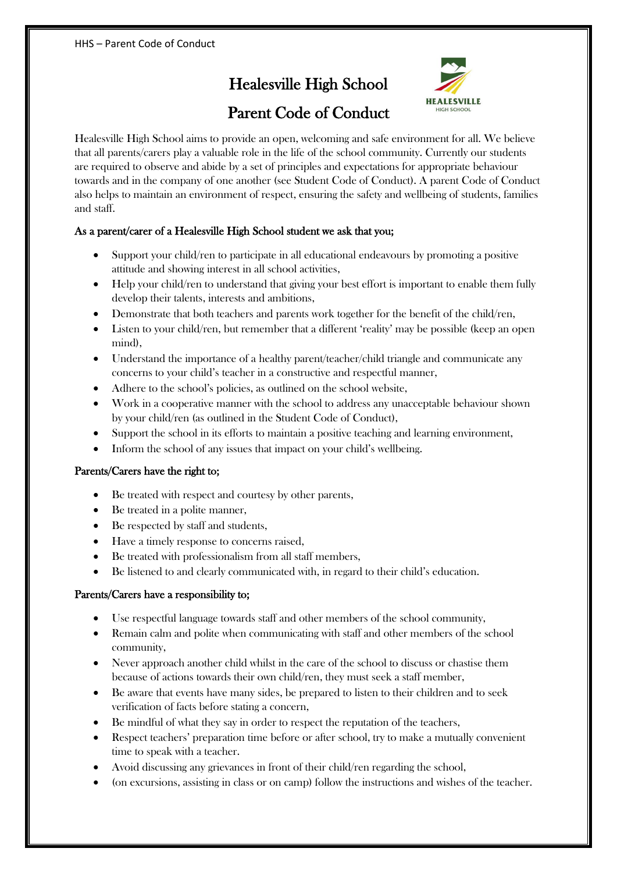# Healesville High School



# Parent Code of Conduct

Healesville High School aims to provide an open, welcoming and safe environment for all. We believe that all parents/carers play a valuable role in the life of the school community. Currently our students are required to observe and abide by a set of principles and expectations for appropriate behaviour towards and in the company of one another (see Student Code of Conduct). A parent Code of Conduct also helps to maintain an environment of respect, ensuring the safety and wellbeing of students, families and staff.

## As a parent/carer of a Healesville High School student we ask that you;

- Support your child/ren to participate in all educational endeavours by promoting a positive attitude and showing interest in all school activities,
- Help your child/ren to understand that giving your best effort is important to enable them fully develop their talents, interests and ambitions,
- Demonstrate that both teachers and parents work together for the benefit of the child/ren,
- Listen to your child/ren, but remember that a different 'reality' may be possible (keep an open mind),
- Understand the importance of a healthy parent/teacher/child triangle and communicate any concerns to your child's teacher in a constructive and respectful manner,
- Adhere to the school's policies, as outlined on the school website,
- Work in a cooperative manner with the school to address any unacceptable behaviour shown by your child/ren (as outlined in the Student Code of Conduct),
- Support the school in its efforts to maintain a positive teaching and learning environment,
- Inform the school of any issues that impact on your child's wellbeing.

#### Parents/Carers have the right to;

- Be treated with respect and courtesy by other parents,
- Be treated in a polite manner,
- Be respected by staff and students,
- Have a timely response to concerns raised,
- Be treated with professionalism from all staff members,
- Be listened to and clearly communicated with, in regard to their child's education.

#### Parents/Carers have a responsibility to;

- Use respectful language towards staff and other members of the school community,
- Remain calm and polite when communicating with staff and other members of the school community,
- Never approach another child whilst in the care of the school to discuss or chastise them because of actions towards their own child/ren, they must seek a staff member,
- Be aware that events have many sides, be prepared to listen to their children and to seek verification of facts before stating a concern,
- Be mindful of what they say in order to respect the reputation of the teachers,
- Respect teachers' preparation time before or after school, try to make a mutually convenient time to speak with a teacher.
- Avoid discussing any grievances in front of their child/ren regarding the school,
- (on excursions, assisting in class or on camp) follow the instructions and wishes of the teacher.